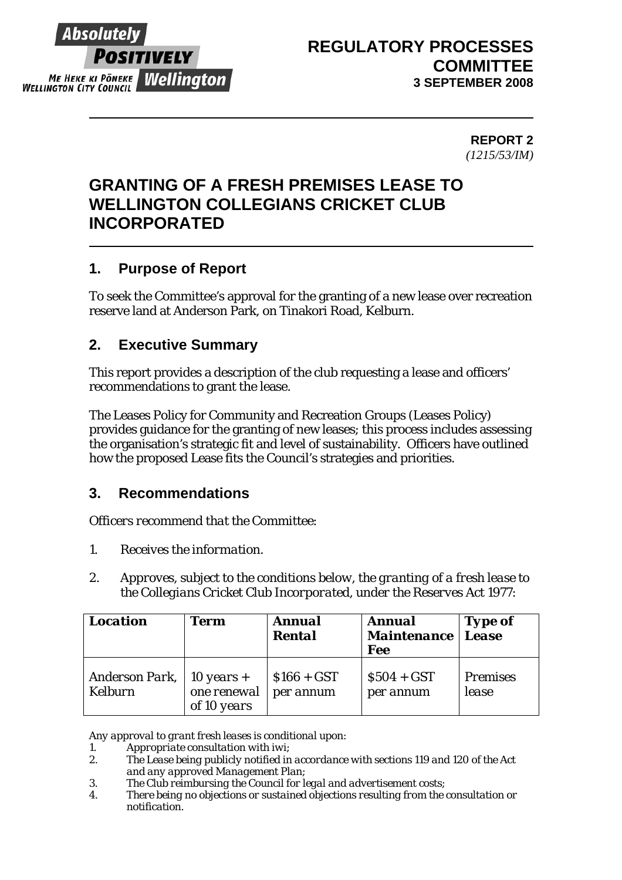

# **REGULATORY PROCESSES COMMITTEE 3 SEPTEMBER 2008**

**REPORT 2**  *(1215/53/IM)* 

# **GRANTING OF A FRESH PREMISES LEASE TO WELLINGTON COLLEGIANS CRICKET CLUB INCORPORATED**

# **1. Purpose of Report**

To seek the Committee's approval for the granting of a new lease over recreation reserve land at Anderson Park, on Tinakori Road, Kelburn.

# **2. Executive Summary**

This report provides a description of the club requesting a lease and officers' recommendations to grant the lease.

The Leases Policy for Community and Recreation Groups (Leases Policy) provides guidance for the granting of new leases; this process includes assessing the organisation's strategic fit and level of sustainability. Officers have outlined how the proposed Lease fits the Council's strategies and priorities.

# **3. Recommendations**

*Officers recommend that the Committee:* 

- *1. Receives the information.*
- *2. Approves, subject to the conditions below, the granting of a fresh lease to the Collegians Cricket Club Incorporated, under the Reserves Act 1977:*

| <b>Location</b>                  | <b>Term</b>                                | <b>Annual</b><br><b>Rental</b> | <b>Annual</b><br><b>Maintenance</b><br><b>Fee</b> | <b>Type of</b><br>Lease  |
|----------------------------------|--------------------------------------------|--------------------------------|---------------------------------------------------|--------------------------|
| Anderson Park,<br><b>Kelburn</b> | 10 years $+$<br>one renewal<br>of 10 years | $$166 + GST$<br>per annum      | $$504 + GST$$<br>per annum                        | <b>Premises</b><br>lease |

*Any approval to grant fresh leases is conditional upon:* 

*1. Appropriate consultation with iwi;* 

- *2. The Lease being publicly notified in accordance with sections 119 and 120 of the Act and any approved Management Plan;*
- *3. The Club reimbursing the Council for legal and advertisement costs;*
- *4. There being no objections or sustained objections resulting from the consultation or notification.*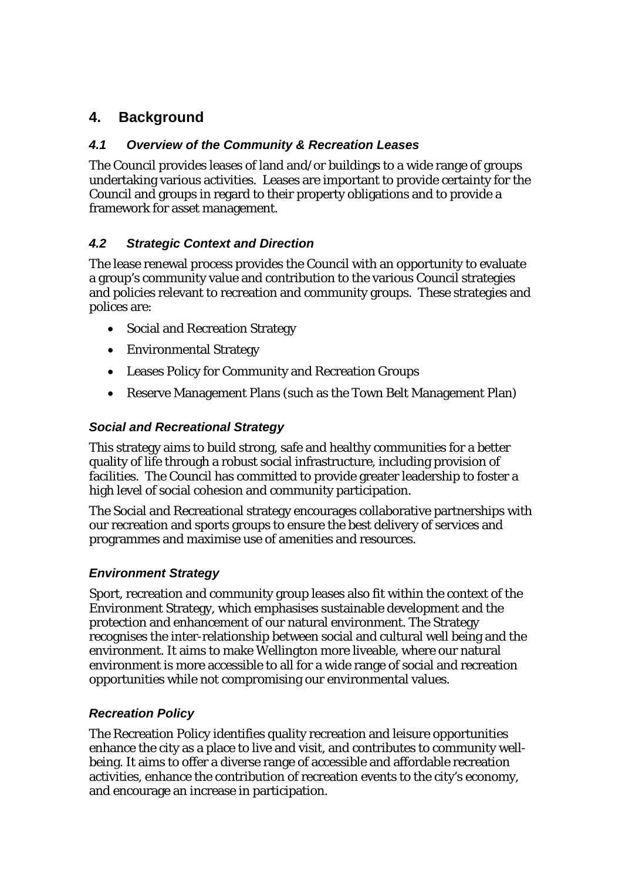# **4. Background**

## *4.1 Overview of the Community & Recreation Leases*

The Council provides leases of land and/or buildings to a wide range of groups undertaking various activities. Leases are important to provide certainty for the Council and groups in regard to their property obligations and to provide a framework for asset management.

## *4.2 Strategic Context and Direction*

The lease renewal process provides the Council with an opportunity to evaluate a group's community value and contribution to the various Council strategies and policies relevant to recreation and community groups. These strategies and polices are:

- Social and Recreation Strategy
- Environmental Strategy
- Leases Policy for Community and Recreation Groups
- Reserve Management Plans (such as the Town Belt Management Plan)

### *Social and Recreational Strategy*

This strategy aims to build strong, safe and healthy communities for a better quality of life through a robust social infrastructure, including provision of facilities. The Council has committed to provide greater leadership to foster a high level of social cohesion and community participation.

The Social and Recreational strategy encourages collaborative partnerships with our recreation and sports groups to ensure the best delivery of services and programmes and maximise use of amenities and resources.

### *Environment Strategy*

Sport, recreation and community group leases also fit within the context of the Environment Strategy, which emphasises sustainable development and the protection and enhancement of our natural environment. The Strategy recognises the inter-relationship between social and cultural well being and the environment. It aims to make Wellington more liveable, where our natural environment is more accessible to all for a wide range of social and recreation opportunities while not compromising our environmental values.

### *Recreation Policy*

The Recreation Policy identifies quality recreation and leisure opportunities enhance the city as a place to live and visit, and contributes to community wellbeing. It aims to offer a diverse range of accessible and affordable recreation activities, enhance the contribution of recreation events to the city's economy, and encourage an increase in participation.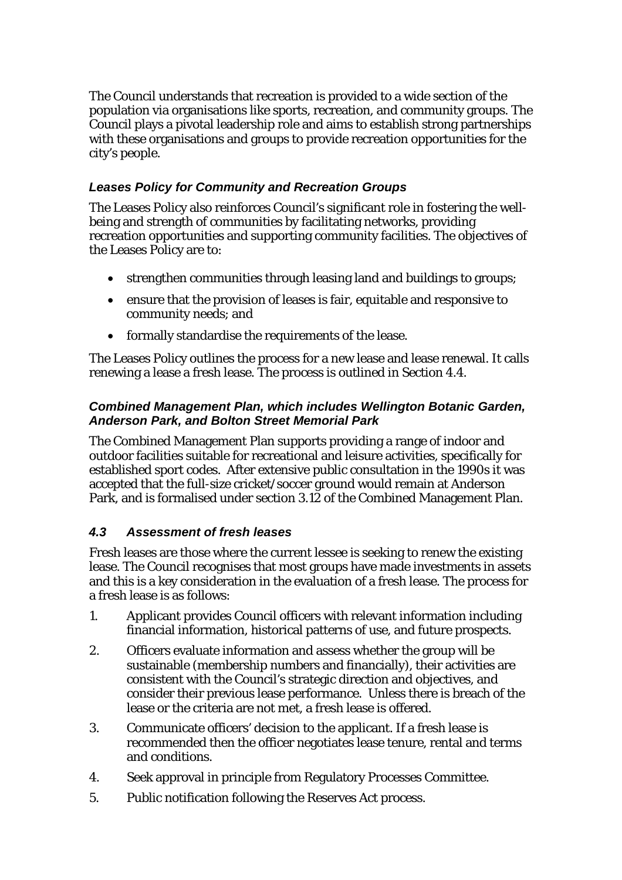The Council understands that recreation is provided to a wide section of the population via organisations like sports, recreation, and community groups. The Council plays a pivotal leadership role and aims to establish strong partnerships with these organisations and groups to provide recreation opportunities for the city's people.

# *Leases Policy for Community and Recreation Groups*

The Leases Policy also reinforces Council's significant role in fostering the wellbeing and strength of communities by facilitating networks, providing recreation opportunities and supporting community facilities. The objectives of the Leases Policy are to:

- strengthen communities through leasing land and buildings to groups;
- ensure that the provision of leases is fair, equitable and responsive to community needs; and
- formally standardise the requirements of the lease.

The Leases Policy outlines the process for a new lease and lease renewal. It calls renewing a lease a fresh lease. The process is outlined in Section 4.4.

## *Combined Management Plan, which includes Wellington Botanic Garden, Anderson Park, and Bolton Street Memorial Park*

The Combined Management Plan supports providing a range of indoor and outdoor facilities suitable for recreational and leisure activities, specifically for established sport codes. After extensive public consultation in the 1990s it was accepted that the full-size cricket/soccer ground would remain at Anderson Park, and is formalised under section 3.12 of the Combined Management Plan.

# *4.3 Assessment of fresh leases*

Fresh leases are those where the current lessee is seeking to renew the existing lease. The Council recognises that most groups have made investments in assets and this is a key consideration in the evaluation of a fresh lease. The process for a fresh lease is as follows:

- 1. Applicant provides Council officers with relevant information including financial information, historical patterns of use, and future prospects.
- 2. Officers evaluate information and assess whether the group will be sustainable (membership numbers and financially), their activities are consistent with the Council's strategic direction and objectives, and consider their previous lease performance. Unless there is breach of the lease or the criteria are not met, a fresh lease is offered.
- 3. Communicate officers' decision to the applicant. If a fresh lease is recommended then the officer negotiates lease tenure, rental and terms and conditions.
- 4. Seek approval in principle from Regulatory Processes Committee.
- 5. Public notification following the Reserves Act process.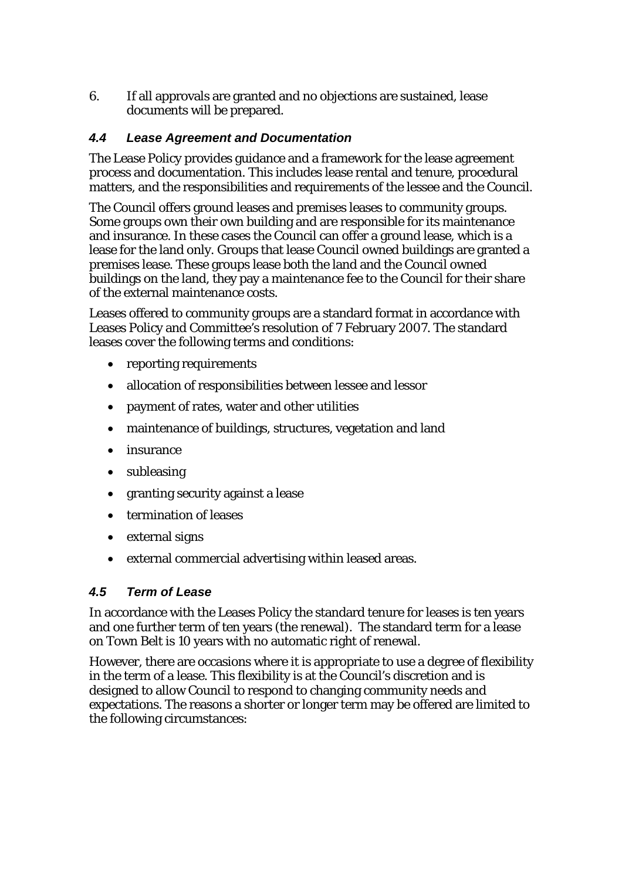6. If all approvals are granted and no objections are sustained, lease documents will be prepared.

## *4.4 Lease Agreement and Documentation*

The Lease Policy provides guidance and a framework for the lease agreement process and documentation. This includes lease rental and tenure, procedural matters, and the responsibilities and requirements of the lessee and the Council.

The Council offers ground leases and premises leases to community groups. Some groups own their own building and are responsible for its maintenance and insurance. In these cases the Council can offer a ground lease, which is a lease for the land only. Groups that lease Council owned buildings are granted a premises lease. These groups lease both the land and the Council owned buildings on the land, they pay a maintenance fee to the Council for their share of the external maintenance costs.

Leases offered to community groups are a standard format in accordance with Leases Policy and Committee's resolution of 7 February 2007. The standard leases cover the following terms and conditions:

- reporting requirements
- allocation of responsibilities between lessee and lessor
- payment of rates, water and other utilities
- maintenance of buildings, structures, vegetation and land
- insurance
- subleasing
- granting security against a lease
- termination of leases
- external signs
- external commercial advertising within leased areas.

### *4.5 Term of Lease*

In accordance with the Leases Policy the standard tenure for leases is ten years and one further term of ten years (the renewal). The standard term for a lease on Town Belt is 10 years with no automatic right of renewal.

However, there are occasions where it is appropriate to use a degree of flexibility in the term of a lease. This flexibility is at the Council's discretion and is designed to allow Council to respond to changing community needs and expectations. The reasons a shorter or longer term may be offered are limited to the following circumstances: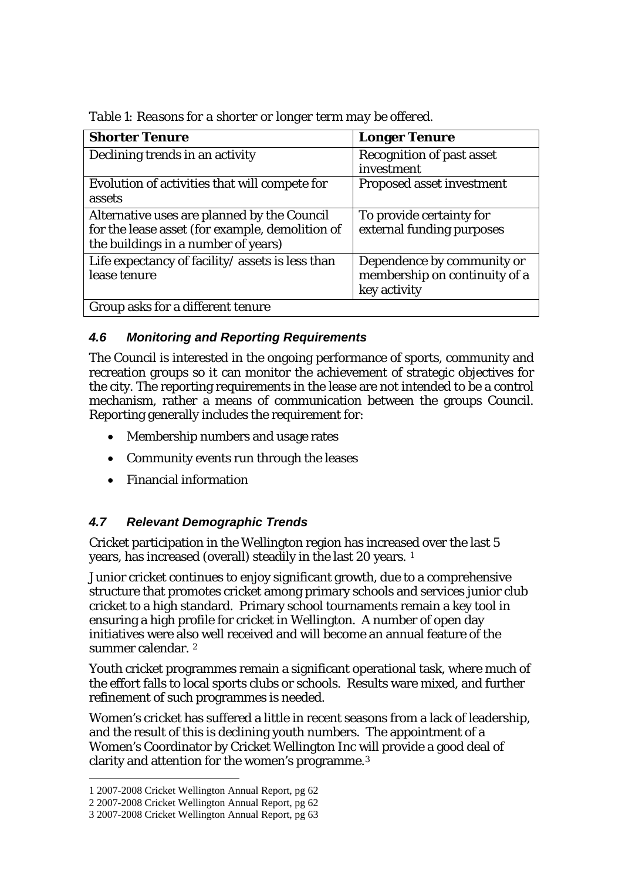| <b>Shorter Tenure</b>                            | <b>Longer Tenure</b>             |
|--------------------------------------------------|----------------------------------|
| Declining trends in an activity                  | <b>Recognition of past asset</b> |
|                                                  | investment                       |
| Evolution of activities that will compete for    | Proposed asset investment        |
| assets                                           |                                  |
| Alternative uses are planned by the Council      | To provide certainty for         |
| for the lease asset (for example, demolition of  | external funding purposes        |
| the buildings in a number of years)              |                                  |
| Life expectancy of facility/ assets is less than | Dependence by community or       |
| lease tenure                                     | membership on continuity of a    |
|                                                  | key activity                     |
| Group asks for a different tenure                |                                  |

*Table 1: Reasons for a shorter or longer term may be offered.* 

## *4.6 Monitoring and Reporting Requirements*

The Council is interested in the ongoing performance of sports, community and recreation groups so it can monitor the achievement of strategic objectives for the city. The reporting requirements in the lease are not intended to be a control mechanism, rather a means of communication between the groups Council. Reporting generally includes the requirement for:

- Membership numbers and usage rates
- Community events run through the leases
- Financial information

# *4.7 Relevant Demographic Trends*

Cricket participation in the Wellington region has increased over the last 5 years, has increased (overall) steadily in the last 20 years. [1](#page-4-0)

Junior cricket continues to enjoy significant growth, due to a comprehensive structure that promotes cricket among primary schools and services junior club cricket to a high standard. Primary school tournaments remain a key tool in ensuring a high profile for cricket in Wellington. A number of open day initiatives were also well received and will become an annual feature of the summer calendar. [2](#page-4-1)

Youth cricket programmes remain a significant operational task, where much of the effort falls to local sports clubs or schools. Results ware mixed, and further refinement of such programmes is needed.

Women's cricket has suffered a little in recent seasons from a lack of leadership, and the result of this is declining youth numbers. The appointment of a Women's Coordinator by Cricket Wellington Inc will provide a good deal of clarity and attention for the women's programme.[3](#page-4-2)

 $\overline{a}$ 

<span id="page-4-0"></span><sup>1 2007-2008</sup> Cricket Wellington Annual Report, pg 62

<span id="page-4-1"></span><sup>2 2007-2008</sup> Cricket Wellington Annual Report, pg 62

<span id="page-4-2"></span><sup>3 2007-2008</sup> Cricket Wellington Annual Report, pg 63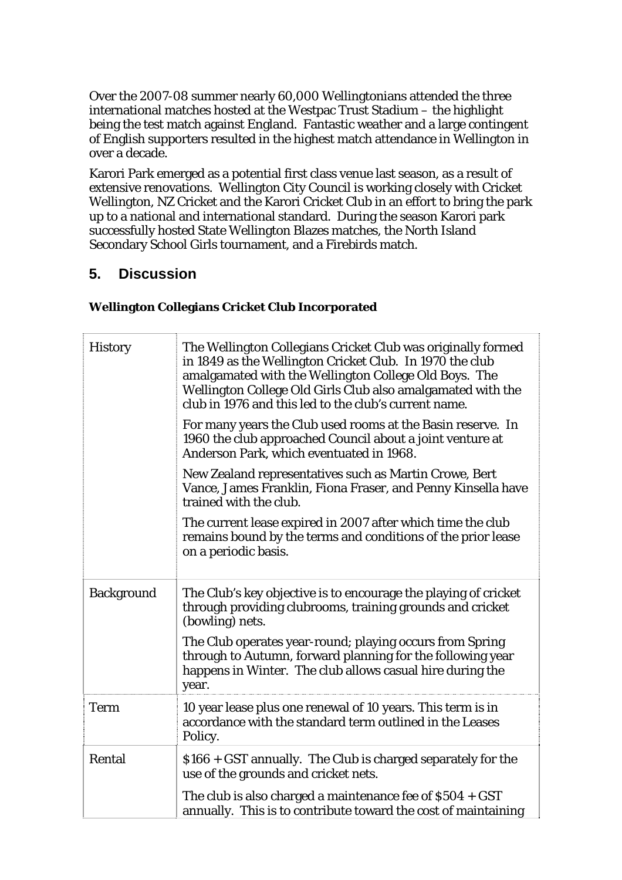Over the 2007-08 summer nearly 60,000 Wellingtonians attended the three international matches hosted at the Westpac Trust Stadium – the highlight being the test match against England. Fantastic weather and a large contingent of English supporters resulted in the highest match attendance in Wellington in over a decade.

Karori Park emerged as a potential first class venue last season, as a result of extensive renovations. Wellington City Council is working closely with Cricket Wellington, NZ Cricket and the Karori Cricket Club in an effort to bring the park up to a national and international standard. During the season Karori park successfully hosted State Wellington Blazes matches, the North Island Secondary School Girls tournament, and a Firebirds match.

# **5. Discussion**

### **Wellington Collegians Cricket Club Incorporated**

| <b>History</b>    | The Wellington Collegians Cricket Club was originally formed<br>in 1849 as the Wellington Cricket Club. In 1970 the club<br>amalgamated with the Wellington College Old Boys. The<br>Wellington College Old Girls Club also amalgamated with the<br>club in 1976 and this led to the club's current name. |  |  |  |
|-------------------|-----------------------------------------------------------------------------------------------------------------------------------------------------------------------------------------------------------------------------------------------------------------------------------------------------------|--|--|--|
|                   | For many years the Club used rooms at the Basin reserve. In<br>1960 the club approached Council about a joint venture at<br>Anderson Park, which eventuated in 1968.                                                                                                                                      |  |  |  |
|                   | New Zealand representatives such as Martin Crowe, Bert<br>Vance, James Franklin, Fiona Fraser, and Penny Kinsella have<br>trained with the club.                                                                                                                                                          |  |  |  |
|                   | The current lease expired in 2007 after which time the club<br>remains bound by the terms and conditions of the prior lease<br>on a periodic basis.                                                                                                                                                       |  |  |  |
| <b>Background</b> | The Club's key objective is to encourage the playing of cricket<br>through providing clubrooms, training grounds and cricket<br>(bowling) nets.                                                                                                                                                           |  |  |  |
|                   | The Club operates year-round; playing occurs from Spring<br>through to Autumn, forward planning for the following year<br>happens in Winter. The club allows casual hire during the<br>year.                                                                                                              |  |  |  |
| <b>Term</b>       | 10 year lease plus one renewal of 10 years. This term is in<br>accordance with the standard term outlined in the Leases<br>Policy.                                                                                                                                                                        |  |  |  |
| Rental            | \$166 + GST annually. The Club is charged separately for the<br>use of the grounds and cricket nets.                                                                                                                                                                                                      |  |  |  |
|                   | The club is also charged a maintenance fee of $$504 + GST$<br>annually. This is to contribute toward the cost of maintaining                                                                                                                                                                              |  |  |  |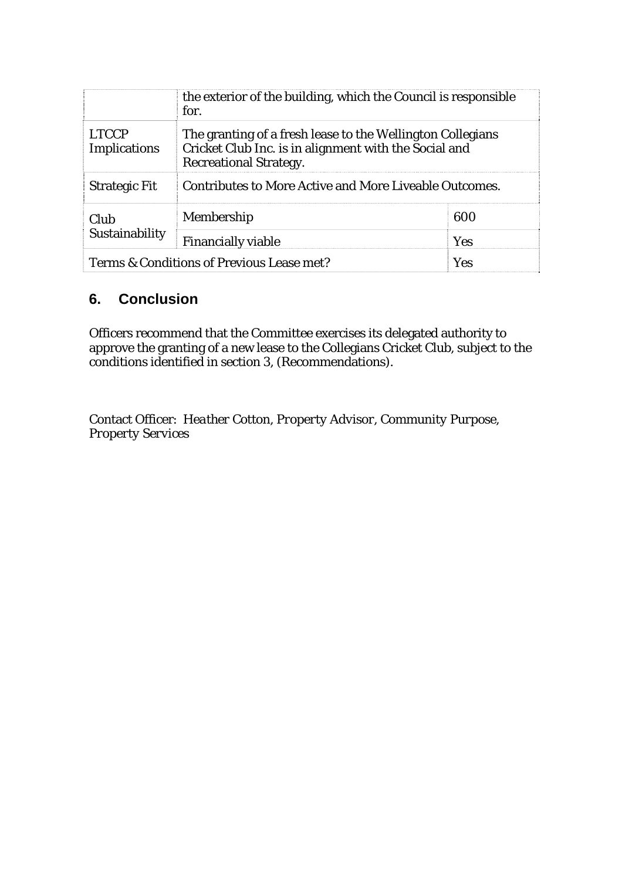|                                                  | the exterior of the building, which the Council is responsible<br>for.                                                                               |            |  |
|--------------------------------------------------|------------------------------------------------------------------------------------------------------------------------------------------------------|------------|--|
| <b>LTCCP</b><br><b>Implications</b>              | The granting of a fresh lease to the Wellington Collegians<br>Cricket Club Inc. is in alignment with the Social and<br><b>Recreational Strategy.</b> |            |  |
| <b>Strategic Fit</b>                             | Contributes to More Active and More Liveable Outcomes.                                                                                               |            |  |
| Club<br>Sustainability                           | Membership                                                                                                                                           | 600        |  |
|                                                  | <b>Financially viable</b>                                                                                                                            | <b>Yes</b> |  |
| Terms & Conditions of Previous Lease met?<br>Yes |                                                                                                                                                      |            |  |

# **6. Conclusion**

Officers recommend that the Committee exercises its delegated authority to approve the granting of a new lease to the Collegians Cricket Club, subject to the conditions identified in section 3, (Recommendations).

Contact Officer: *Heather Cotton, Property Advisor, Community Purpose, Property Services*